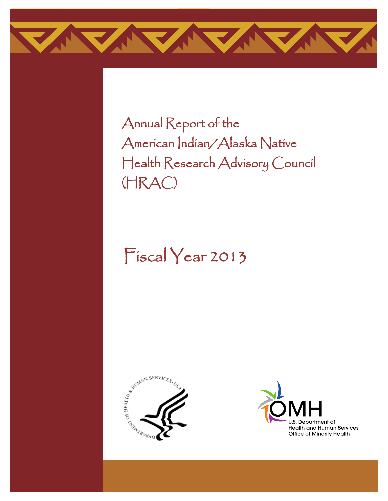

Annual Report of the American Indian/Alaska Native Health Research Advisory Council (HRAC)

# Fiscal Year 2013





֦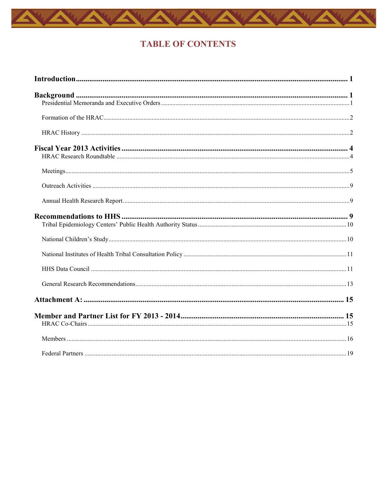

### **TABLE OF CONTENTS**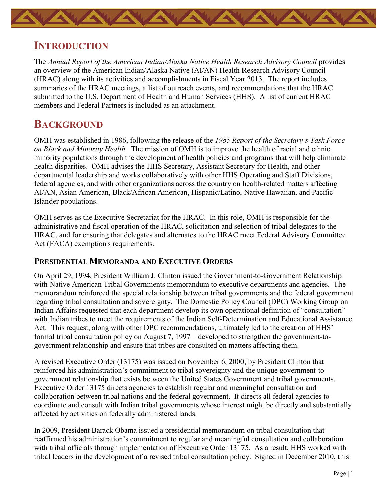<span id="page-2-0"></span>

### **INTRODUCTION**

The Annual Report of the American Indian/Alaska Native Health Research Advisory Council provides an overview of the American Indian/Alaska Native (AI/AN) Health Research Advisory Council (HRAC) along with its activities and accomplishments in Fiscal Year 2013. The report includes summaries of the HRAC meetings, a list of outreach events, and recommendations that the HRAC submitted to the U.S. Department of Health and Human Services (HHS). A list of current HRAC members and Federal Partners is included as an attachment.

### <span id="page-2-1"></span>**BACKGROUND**

<span id="page-2-2"></span>OMH was established in 1986, following the release of the *1985 Report of the Secretary's Task Force on Black and Minority Health.* The mission of OMH is to improve the health of racial and ethnic minority populations through the development of health policies and programs that will help eliminate health disparities. OMH advises the HHS Secretary, Assistant Secretary for Health, and other departmental leadership and works collaboratively with other HHS Operating and Staff Divisions, federal agencies, and with other organizations across the country on health-related matters affecting AI/AN, Asian American, Black/African American, Hispanic/Latino, Native Hawaiian, and Pacific Islander populations.

OMH serves as the Executive Secretariat for the HRAC. In this role, OMH is responsible for the administrative and fiscal operation of the HRAC, solicitation and selection of tribal delegates to the HRAC, and for ensuring that delegates and alternates to the HRAC meet Federal Advisory Committee Act (FACA) exemption's requirements.

### **PRESIDENTIAL MEMORANDA AND EXECUTIVE ORDERS**

On April 29, 1994, President William J. Clinton issued the Government-to-Government Relationship with Native American Tribal Governments memorandum to executive departments and agencies. The memorandum reinforced the special relationship between tribal governments and the federal government regarding tribal consultation and sovereignty. The Domestic Policy Council (DPC) Working Group on Indian Affairs requested that each department develop its own operational definition of "consultation" with Indian tribes to meet the requirements of the Indian Self-Determination and Educational Assistance Act. This request, along with other DPC recommendations, ultimately led to the creation of HHS' formal tribal consultation policy on August 7, 1997 – developed to strengthen the government-togovernment relationship and ensure that tribes are consulted on matters affecting them.

A revised Executive Order (13175) was issued on November 6, 2000, by President Clinton that reinforced his administration's commitment to tribal sovereignty and the unique government-togovernment relationship that exists between the United States Government and tribal governments. Executive Order 13175 directs agencies to establish regular and meaningful consultation and collaboration between tribal nations and the federal government. It directs all federal agencies to coordinate and consult with Indian tribal governments whose interest might be directly and substantially affected by activities on federally administered lands.

In 2009, President Barack Obama issued a presidential memorandum on tribal consultation that reaffirmed his administration's commitment to regular and meaningful consultation and collaboration with tribal officials through implementation of Executive Order 13175. As a result, HHS worked with tribal leaders in the development of a revised tribal consultation policy. Signed in December 2010, this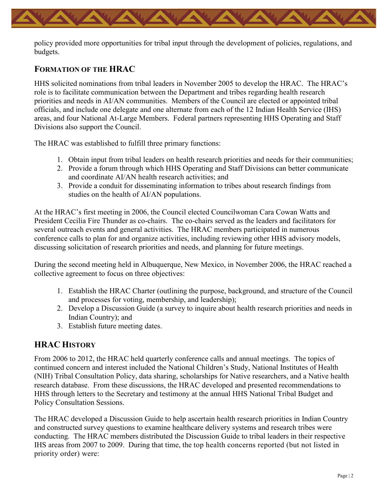policy provided more opportunities for tribal input through the development of policies, regulations, and budgets.

### <span id="page-3-0"></span>**FORMATION OF THE HRAC**

HHS solicited nominations from tribal leaders in November 2005 to develop the HRAC. The HRAC's role is to facilitate communication between the Department and tribes regarding health research priorities and needs in AI/AN communities. Members of the Council are elected or appointed tribal officials, and include one delegate and one alternate from each of the 12 Indian Health Service (IHS) areas, and four National At-Large Members. Federal partners representing HHS Operating and Staff Divisions also support the Council.

The HRAC was established to fulfill three primary functions:

- 1. Obtain input from tribal leaders on health research priorities and needs for their communities;
- 2. Provide a forum through which HHS Operating and Staff Divisions can better communicate and coordinate AI/AN health research activities; and
- 3. Provide a conduit for disseminating information to tribes about research findings from studies on the health of AI/AN populations.

At the HRAC's first meeting in 2006, the Council elected Councilwoman Cara Cowan Watts and President Cecilia Fire Thunder as co-chairs. The co-chairs served as the leaders and facilitators for several outreach events and general activities. The HRAC members participated in numerous conference calls to plan for and organize activities, including reviewing other HHS advisory models, discussing solicitation of research priorities and needs, and planning for future meetings.

During the second meeting held in Albuquerque, New Mexico, in November 2006, the HRAC reached a collective agreement to focus on three objectives:

- 1. Establish the HRAC Charter (outlining the purpose, background, and structure of the Council and processes for voting, membership, and leadership);
- 2. Develop a Discussion Guide (a survey to inquire about health research priorities and needs in Indian Country); and
- 3. Establish future meeting dates.

### <span id="page-3-1"></span>**HRAC HISTORY**

From 2006 to 2012, the HRAC held quarterly conference calls and annual meetings. The topics of continued concern and interest included the National Children's Study, National Institutes of Health (NIH) Tribal Consultation Policy, data sharing, scholarships for Native researchers, and a Native health research database. From these discussions, the HRAC developed and presented recommendations to HHS through letters to the Secretary and testimony at the annual HHS National Tribal Budget and Policy Consultation Sessions.

The HRAC developed a Discussion Guide to help ascertain health research priorities in Indian Country and constructed survey questions to examine healthcare delivery systems and research tribes were conducting. The HRAC members distributed the Discussion Guide to tribal leaders in their respective IHS areas from 2007 to 2009. During that time, the top health concerns reported (but not listed in priority order) were: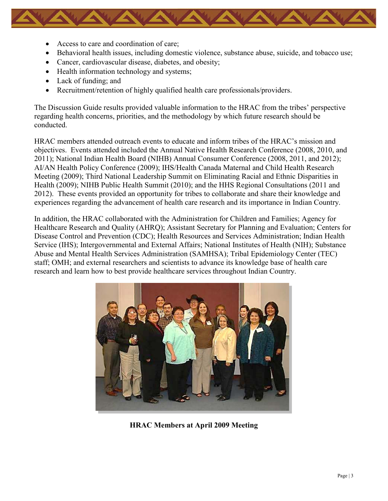- Access to care and coordination of care;
- Behavioral health issues, including domestic violence, substance abuse, suicide, and tobacco use;
- Cancer, cardiovascular disease, diabetes, and obesity;
- Health information technology and systems;
- Lack of funding; and
- Recruitment/retention of highly qualified health care professionals/providers.

The Discussion Guide results provided valuable information to the HRAC from the tribes' perspective regarding health concerns, priorities, and the methodology by which future research should be conducted.

HRAC members attended outreach events to educate and inform tribes of the HRAC's mission and objectives. Events attended included the Annual Native Health Research Conference (2008, 2010, and 2011); National Indian Health Board (NIHB) Annual Consumer Conference (2008, 2011, and 2012); AI/AN Health Policy Conference (2009); IHS/Health Canada Maternal and Child Health Research Meeting (2009); Third National Leadership Summit on Eliminating Racial and Ethnic Disparities in Health (2009); NIHB Public Health Summit (2010); and the HHS Regional Consultations (2011 and 2012). These events provided an opportunity for tribes to collaborate and share their knowledge and experiences regarding the advancement of health care research and its importance in Indian Country.

In addition, the HRAC collaborated with the Administration for Children and Families; Agency for Healthcare Research and Quality (AHRQ); Assistant Secretary for Planning and Evaluation; Centers for Disease Control and Prevention (CDC); Health Resources and Services Administration; Indian Health Service (IHS); Intergovernmental and External Affairs; National Institutes of Health (NIH); Substance Abuse and Mental Health Services Administration (SAMHSA); Tribal Epidemiology Center (TEC) staff; OMH; and external researchers and scientists to advance its knowledge base of health care research and learn how to best provide healthcare services throughout Indian Country.



**HRAC Members at April 2009 Meeting**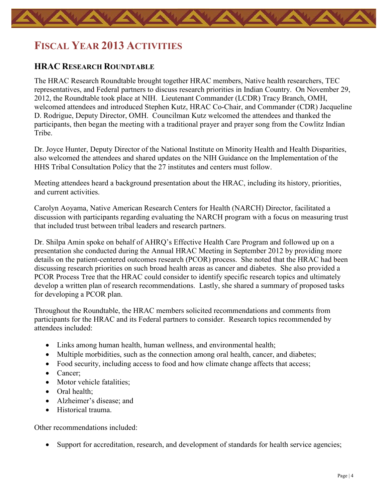## <span id="page-5-0"></span>**FISCAL YEAR 2013 ACTIVITIES**

#### <span id="page-5-1"></span>**HRAC RESEARCH ROUNDTABLE**

The HRAC Research Roundtable brought together HRAC members, Native health researchers, TEC representatives, and Federal partners to discuss research priorities in Indian Country. On November 29, 2012, the Roundtable took place at NIH. Lieutenant Commander (LCDR) Tracy Branch, OMH, welcomed attendees and introduced Stephen Kutz, HRAC Co-Chair, and Commander (CDR) Jacqueline D. Rodrigue, Deputy Director, OMH. Councilman Kutz welcomed the attendees and thanked the participants, then began the meeting with a traditional prayer and prayer song from the Cowlitz Indian Tribe.

Dr. Joyce Hunter, Deputy Director of the National Institute on Minority Health and Health Disparities, also welcomed the attendees and shared updates on the NIH Guidance on the Implementation of the HHS Tribal Consultation Policy that the 27 institutes and centers must follow.

Meeting attendees heard a background presentation about the HRAC, including its history, priorities, and current activities.

Carolyn Aoyama, Native American Research Centers for Health (NARCH) Director, facilitated a discussion with participants regarding evaluating the NARCH program with a focus on measuring trust that included trust between tribal leaders and research partners.

Dr. Shilpa Amin spoke on behalf of AHRQ's Effective Health Care Program and followed up on a presentation she conducted during the Annual HRAC Meeting in September 2012 by providing more details on the patient-centered outcomes research (PCOR) process. She noted that the HRAC had been discussing research priorities on such broad health areas as cancer and diabetes. She also provided a PCOR Process Tree that the HRAC could consider to identify specific research topics and ultimately develop a written plan of research recommendations. Lastly, she shared a summary of proposed tasks for developing a PCOR plan.

Throughout the Roundtable, the HRAC members solicited recommendations and comments from participants for the HRAC and its Federal partners to consider. Research topics recommended by attendees included:

- Links among human health, human wellness, and environmental health;
- Multiple morbidities, such as the connection among oral health, cancer, and diabetes;
- Food security, including access to food and how climate change affects that access;
- Cancer;
- Motor vehicle fatalities;
- Oral health:
- Alzheimer's disease; and
- Historical trauma

Other recommendations included:

• Support for accreditation, research, and development of standards for health service agencies;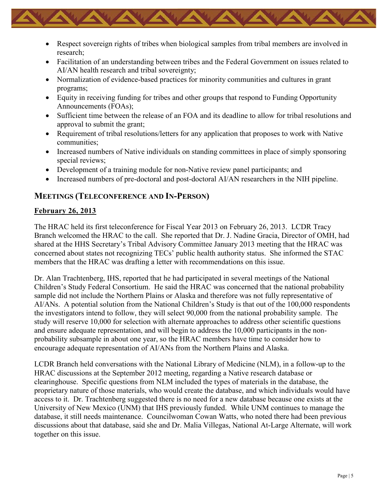- Respect sovereign rights of tribes when biological samples from tribal members are involved in research;
- Facilitation of an understanding between tribes and the Federal Government on issues related to AI/AN health research and tribal sovereignty;
- Normalization of evidence-based practices for minority communities and cultures in grant programs;
- Equity in receiving funding for tribes and other groups that respond to Funding Opportunity Announcements (FOAs);
- Sufficient time between the release of an FOA and its deadline to allow for tribal resolutions and approval to submit the grant;
- Requirement of tribal resolutions/letters for any application that proposes to work with Native communities;
- Increased numbers of Native individuals on standing committees in place of simply sponsoring special reviews;
- Development of a training module for non-Native review panel participants; and
- Increased numbers of pre-doctoral and post-doctoral AI/AN researchers in the NIH pipeline.

### <span id="page-6-0"></span>**MEETINGS (TELECONFERENCE AND IN-PERSON)**

### **February 26, 2013**

The HRAC held its first teleconference for Fiscal Year 2013 on February 26, 2013. LCDR Tracy Branch welcomed the HRAC to the call. She reported that Dr. J. Nadine Gracia, Director of OMH, had shared at the HHS Secretary's Tribal Advisory Committee January 2013 meeting that the HRAC was concerned about states not recognizing TECs' public health authority status. She informed the STAC members that the HRAC was drafting a letter with recommendations on this issue.

Dr. Alan Trachtenberg, IHS, reported that he had participated in several meetings of the National Children's Study Federal Consortium. He said the HRAC was concerned that the national probability sample did not include the Northern Plains or Alaska and therefore was not fully representative of AI/ANs. A potential solution from the National Children's Study is that out of the 100,000 respondents the investigators intend to follow, they will select 90,000 from the national probability sample. The study will reserve 10,000 for selection with alternate approaches to address other scientific questions and ensure adequate representation, and will begin to address the 10,000 participants in the nonprobability subsample in about one year, so the HRAC members have time to consider how to encourage adequate representation of AI/ANs from the Northern Plains and Alaska.

LCDR Branch held conversations with the National Library of Medicine (NLM), in a follow-up to the HRAC discussions at the September 2012 meeting, regarding a Native research database or clearinghouse. Specific questions from NLM included the types of materials in the database, the proprietary nature of those materials, who would create the database, and which individuals would have access to it. Dr. Trachtenberg suggested there is no need for a new database because one exists at the University of New Mexico (UNM) that IHS previously funded. While UNM continues to manage the database, it still needs maintenance. Councilwoman Cowan Watts, who noted there had been previous discussions about that database, said she and Dr. Malia Villegas, National At-Large Alternate, will work together on this issue.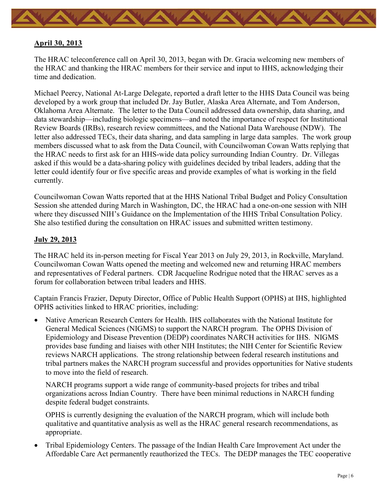

#### **April 30, 2013**

The HRAC teleconference call on April 30, 2013, began with Dr. Gracia welcoming new members of the HRAC and thanking the HRAC members for their service and input to HHS, acknowledging their time and dedication.

Michael Peercy, National At-Large Delegate, reported a draft letter to the HHS Data Council was being developed by a work group that included Dr. Jay Butler, Alaska Area Alternate, and Tom Anderson, Oklahoma Area Alternate. The letter to the Data Council addressed data ownership, data sharing, and data stewardship—including biologic specimens—and noted the importance of respect for Institutional Review Boards (IRBs), research review committees, and the National Data Warehouse (NDW). The letter also addressed TECs, their data sharing, and data sampling in large data samples. The work group members discussed what to ask from the Data Council, with Councilwoman Cowan Watts replying that the HRAC needs to first ask for an HHS-wide data policy surrounding Indian Country. Dr. Villegas asked if this would be a data-sharing policy with guidelines decided by tribal leaders, adding that the letter could identify four or five specific areas and provide examples of what is working in the field currently.

Councilwoman Cowan Watts reported that at the HHS National Tribal Budget and Policy Consultation Session she attended during March in Washington, DC, the HRAC had a one-on-one session with NIH where they discussed NIH's Guidance on the Implementation of the HHS Tribal Consultation Policy. She also testified during the consultation on HRAC issues and submitted written testimony.

#### **July 29, 2013**

The HRAC held its in-person meeting for Fiscal Year 2013 on July 29, 2013, in Rockville, Maryland. Councilwoman Cowan Watts opened the meeting and welcomed new and returning HRAC members and representatives of Federal partners. CDR Jacqueline Rodrigue noted that the HRAC serves as a forum for collaboration between tribal leaders and HHS.

Captain Francis Frazier, Deputy Director, Office of Public Health Support (OPHS) at IHS, highlighted OPHS activities linked to HRAC priorities, including:

• Native American Research Centers for Health. IHS collaborates with the National Institute for General Medical Sciences (NIGMS) to support the NARCH program. The OPHS Division of Epidemiology and Disease Prevention (DEDP) coordinates NARCH activities for IHS. NIGMS provides base funding and liaises with other NIH Institutes; the NIH Center for Scientific Review reviews NARCH applications. The strong relationship between federal research institutions and tribal partners makes the NARCH program successful and provides opportunities for Native students to move into the field of research.

NARCH programs support a wide range of community-based projects for tribes and tribal organizations across Indian Country. There have been minimal reductions in NARCH funding despite federal budget constraints.

OPHS is currently designing the evaluation of the NARCH program, which will include both qualitative and quantitative analysis as well as the HRAC general research recommendations, as appropriate.

• Tribal Epidemiology Centers. The passage of the Indian Health Care Improvement Act under the Affordable Care Act permanently reauthorized the TECs. The DEDP manages the TEC cooperative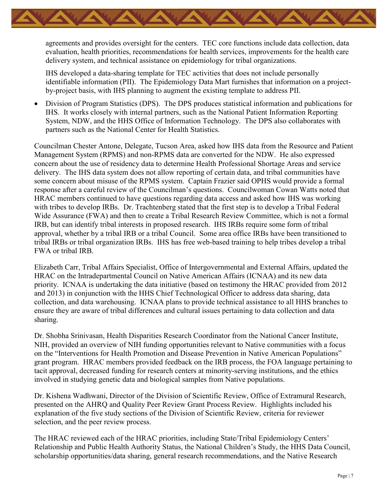agreements and provides oversight for the centers. TEC core functions include data collection, data evaluation, health priorities, recommendations for health services, improvements for the health care delivery system, and technical assistance on epidemiology for tribal organizations.

IHS developed a data-sharing template for TEC activities that does not include personally identifiable information (PII). The Epidemiology Data Mart furnishes that information on a projectby-project basis, with IHS planning to augment the existing template to address PII.

• Division of Program Statistics (DPS). The DPS produces statistical information and publications for IHS. It works closely with internal partners, such as the National Patient Information Reporting System, NDW, and the HHS Office of Information Technology. The DPS also collaborates with partners such as the National Center for Health Statistics.

Councilman Chester Antone, Delegate, Tucson Area, asked how IHS data from the Resource and Patient Management System (RPMS) and non-RPMS data are converted for the NDW. He also expressed concern about the use of residency data to determine Health Professional Shortage Areas and service delivery. The IHS data system does not allow reporting of certain data, and tribal communities have some concern about misuse of the RPMS system. Captain Frazier said OPHS would provide a formal response after a careful review of the Councilman's questions. Councilwoman Cowan Watts noted that HRAC members continued to have questions regarding data access and asked how IHS was working with tribes to develop IRBs. Dr. Trachtenberg stated that the first step is to develop a Tribal Federal Wide Assurance (FWA) and then to create a Tribal Research Review Committee, which is not a formal IRB, but can identify tribal interests in proposed research. IHS IRBs require some form of tribal approval, whether by a tribal IRB or a tribal Council. Some area office IRBs have been transitioned to tribal IRBs or tribal organization IRBs. IHS has free web-based training to help tribes develop a tribal FWA or tribal IRB.

Elizabeth Carr, Tribal Affairs Specialist, Office of Intergovernmental and External Affairs, updated the HRAC on the Intradepartmental Council on Native American Affairs (ICNAA) and its new data priority. ICNAA is undertaking the data initiative (based on testimony the HRAC provided from 2012 and 2013) in conjunction with the HHS Chief Technological Officer to address data sharing, data collection, and data warehousing. ICNAA plans to provide technical assistance to all HHS branches to ensure they are aware of tribal differences and cultural issues pertaining to data collection and data sharing.

Dr. Shobha Srinivasan, Health Disparities Research Coordinator from the National Cancer Institute, NIH, provided an overview of NIH funding opportunities relevant to Native communities with a focus on the "Interventions for Health Promotion and Disease Prevention in Native American Populations" grant program. HRAC members provided feedback on the IRB process, the FOA language pertaining to tacit approval, decreased funding for research centers at minority-serving institutions, and the ethics involved in studying genetic data and biological samples from Native populations.

Dr. Kishena Wadhwani, Director of the Division of Scientific Review, Office of Extramural Research, presented on the AHRQ and Quality Peer Review Grant Process Review. Highlights included his explanation of the five study sections of the Division of Scientific Review, criteria for reviewer selection, and the peer review process.

The HRAC reviewed each of the HRAC priorities, including State/Tribal Epidemiology Centers' Relationship and Public Health Authority Status, the National Children's Study, the HHS Data Council, scholarship opportunities/data sharing, general research recommendations, and the Native Research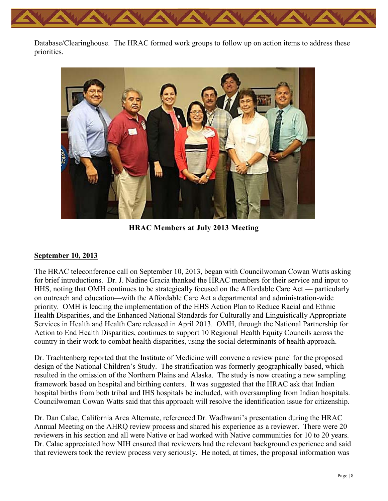Database/Clearinghouse. The HRAC formed work groups to follow up on action items to address these priorities.



**HRAC Members at July 2013 Meeting**

#### **September 10, 2013**

The HRAC teleconference call on September 10, 2013, began with Councilwoman Cowan Watts asking for brief introductions. Dr. J. Nadine Gracia thanked the HRAC members for their service and input to HHS, noting that OMH continues to be strategically focused on the Affordable Care Act — particularly on outreach and education—with the Affordable Care Act a departmental and administration-wide priority. OMH is leading the implementation of the HHS Action Plan to Reduce Racial and Ethnic Health Disparities, and the Enhanced National Standards for Culturally and Linguistically Appropriate Services in Health and Health Care released in April 2013. OMH, through the National Partnership for Action to End Health Disparities, continues to support 10 Regional Health Equity Councils across the country in their work to combat health disparities, using the social determinants of health approach.

Dr. Trachtenberg reported that the Institute of Medicine will convene a review panel for the proposed design of the National Children's Study. The stratification was formerly geographically based, which resulted in the omission of the Northern Plains and Alaska. The study is now creating a new sampling framework based on hospital and birthing centers. It was suggested that the HRAC ask that Indian hospital births from both tribal and IHS hospitals be included, with oversampling from Indian hospitals. Councilwoman Cowan Watts said that this approach will resolve the identification issue for citizenship.

Dr. Dan Calac, California Area Alternate, referenced Dr. Wadhwani's presentation during the HRAC Annual Meeting on the AHRQ review process and shared his experience as a reviewer. There were 20 reviewers in his section and all were Native or had worked with Native communities for 10 to 20 years. Dr. Calac appreciated how NIH ensured that reviewers had the relevant background experience and said that reviewers took the review process very seriously. He noted, at times, the proposal information was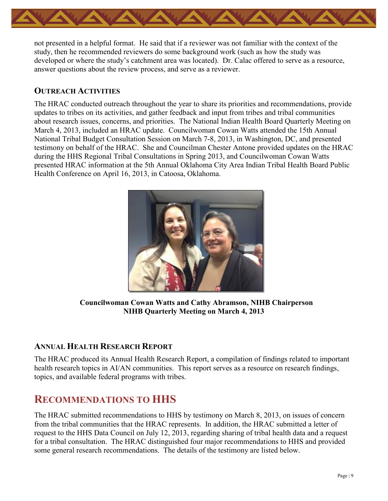

not presented in a helpful format. He said that if a reviewer was not familiar with the context of the study, then he recommended reviewers do some background work (such as how the study was developed or where the study's catchment area was located). Dr. Calac offered to serve as a resource, answer questions about the review process, and serve as a reviewer.

### <span id="page-10-0"></span>**OUTREACH ACTIVITIES**

The HRAC conducted outreach throughout the year to share its priorities and recommendations, provide updates to tribes on its activities, and gather feedback and input from tribes and tribal communities about research issues, concerns, and priorities. The National Indian Health Board Quarterly Meeting on March 4, 2013, included an HRAC update. Councilwoman Cowan Watts attended the 15th Annual National Tribal Budget Consultation Session on March 7-8, 2013, in Washington, DC, and presented testimony on behalf of the HRAC. She and Councilman Chester Antone provided updates on the HRAC during the HHS Regional Tribal Consultations in Spring 2013, and Councilwoman Cowan Watts presented HRAC information at the 5th Annual Oklahoma City Area Indian Tribal Health Board Public Health Conference on April 16, 2013, in Catoosa, Oklahoma.



**Councilwoman Cowan Watts and Cathy Abramson, NIHB Chairperson NIHB Quarterly Meeting on March 4, 2013** 

### <span id="page-10-1"></span>**ANNUAL HEALTH RESEARCH REPORT**

The HRAC produced its Annual Health Research Report, a compilation of findings related to important health research topics in AI/AN communities. This report serves as a resource on research findings, topics, and available federal programs with tribes.

### <span id="page-10-2"></span>**RECOMMENDATIONS TO HHS**

The HRAC submitted recommendations to HHS by testimony on March 8, 2013, on issues of concern from the tribal communities that the HRAC represents. In addition, the HRAC submitted a letter of request to the HHS Data Council on July 12, 2013, regarding sharing of tribal health data and a request for a tribal consultation. The HRAC distinguished four major recommendations to HHS and provided some general research recommendations. The details of the testimony are listed below.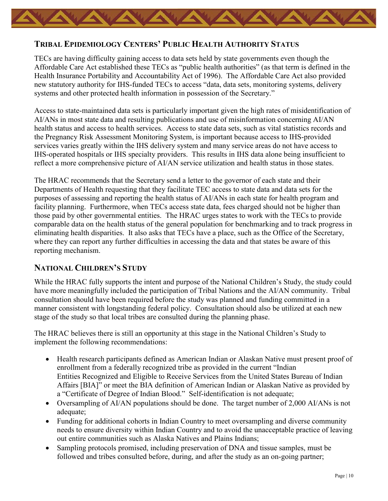### <span id="page-11-0"></span>**TRIBAL EPIDEMIOLOGY CENTERS' PUBLIC HEALTH AUTHORITY STATUS**

TECs are having difficulty gaining access to data sets held by state governments even though the Affordable Care Act established these TECs as "public health authorities" (as that term is defined in the Health Insurance Portability and Accountability Act of 1996). The Affordable Care Act also provided new statutory authority for IHS-funded TECs to access "data, data sets, monitoring systems, delivery systems and other protected health information in possession of the Secretary."

Access to state-maintained data sets is particularly important given the high rates of misidentification of AI/ANs in most state data and resulting publications and use of misinformation concerning AI/AN health status and access to health services. Access to state data sets, such as vital statistics records and the Pregnancy Risk Assessment Monitoring System, is important because access to IHS-provided services varies greatly within the IHS delivery system and many service areas do not have access to IHS-operated hospitals or IHS specialty providers. This results in IHS data alone being insufficient to reflect a more comprehensive picture of AI/AN service utilization and health status in those states.

The HRAC recommends that the Secretary send a letter to the governor of each state and their Departments of Health requesting that they facilitate TEC access to state data and data sets for the purposes of assessing and reporting the health status of AI/ANs in each state for health program and facility planning. Furthermore, when TECs access state data, fees charged should not be higher than those paid by other governmental entities. The HRAC urges states to work with the TECs to provide comparable data on the health status of the general population for benchmarking and to track progress in eliminating health disparities. It also asks that TECs have a place, such as the Office of the Secretary, where they can report any further difficulties in accessing the data and that states be aware of this reporting mechanism.

### <span id="page-11-1"></span>**NATIONAL CHILDREN'S STUDY**

While the HRAC fully supports the intent and purpose of the National Children's Study, the study could have more meaningfully included the participation of Tribal Nations and the AI/AN community. Tribal consultation should have been required before the study was planned and funding committed in a manner consistent with longstanding federal policy. Consultation should also be utilized at each new stage of the study so that local tribes are consulted during the planning phase.

The HRAC believes there is still an opportunity at this stage in the National Children's Study to implement the following recommendations:

- Health research participants defined as American Indian or Alaskan Native must present proof of enrollment from a federally recognized tribe as provided in the current "Indian Entities Recognized and Eligible to Receive Services from the United States Bureau of Indian Affairs [BIA]" or meet the BIA definition of American Indian or Alaskan Native as provided by a "Certificate of Degree of Indian Blood." Self-identification is not adequate;
- Oversampling of AI/AN populations should be done. The target number of 2,000 AI/ANs is not adequate;
- Funding for additional cohorts in Indian Country to meet oversampling and diverse community needs to ensure diversity within Indian Country and to avoid the unacceptable practice of leaving out entire communities such as Alaska Natives and Plains Indians;
- Sampling protocols promised, including preservation of DNA and tissue samples, must be followed and tribes consulted before, during, and after the study as an on-going partner;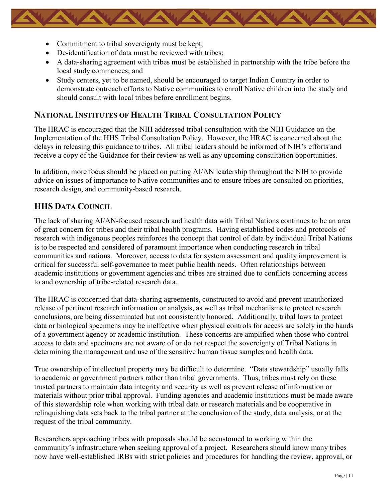- Commitment to tribal sovereignty must be kept;
- De-identification of data must be reviewed with tribes:
- A data-sharing agreement with tribes must be established in partnership with the tribe before the local study commences; and
- Study centers, yet to be named, should be encouraged to target Indian Country in order to demonstrate outreach efforts to Native communities to enroll Native children into the study and should consult with local tribes before enrollment begins.

### <span id="page-12-0"></span>**NATIONAL INSTITUTES OF HEALTH TRIBAL CONSULTATION POLICY**

The HRAC is encouraged that the NIH addressed tribal consultation with the NIH Guidance on the Implementation of the HHS Tribal Consultation Policy. However, the HRAC is concerned about the delays in releasing this guidance to tribes. All tribal leaders should be informed of NIH's efforts and receive a copy of the Guidance for their review as well as any upcoming consultation opportunities.

In addition, more focus should be placed on putting AI/AN leadership throughout the NIH to provide advice on issues of importance to Native communities and to ensure tribes are consulted on priorities, research design, and community-based research.

### <span id="page-12-1"></span>**HHS DATA COUNCIL**

The lack of sharing AI/AN-focused research and health data with Tribal Nations continues to be an area of great concern for tribes and their tribal health programs. Having established codes and protocols of research with indigenous peoples reinforces the concept that control of data by individual Tribal Nations is to be respected and considered of paramount importance when conducting research in tribal communities and nations. Moreover, access to data for system assessment and quality improvement is critical for successful self-governance to meet public health needs. Often relationships between academic institutions or government agencies and tribes are strained due to conflicts concerning access to and ownership of tribe-related research data.

The HRAC is concerned that data-sharing agreements, constructed to avoid and prevent unauthorized release of pertinent research information or analysis, as well as tribal mechanisms to protect research conclusions, are being disseminated but not consistently honored. Additionally, tribal laws to protect data or biological specimens may be ineffective when physical controls for access are solely in the hands of a government agency or academic institution. These concerns are amplified when those who control access to data and specimens are not aware of or do not respect the sovereignty of Tribal Nations in determining the management and use of the sensitive human tissue samples and health data.

True ownership of intellectual property may be difficult to determine. "Data stewardship" usually falls to academic or government partners rather than tribal governments. Thus, tribes must rely on these trusted partners to maintain data integrity and security as well as prevent release of information or materials without prior tribal approval. Funding agencies and academic institutions must be made aware of this stewardship role when working with tribal data or research materials and be cooperative in relinquishing data sets back to the tribal partner at the conclusion of the study, data analysis, or at the request of the tribal community.

Researchers approaching tribes with proposals should be accustomed to working within the community's infrastructure when seeking approval of a project. Researchers should know many tribes now have well-established IRBs with strict policies and procedures for handling the review, approval, or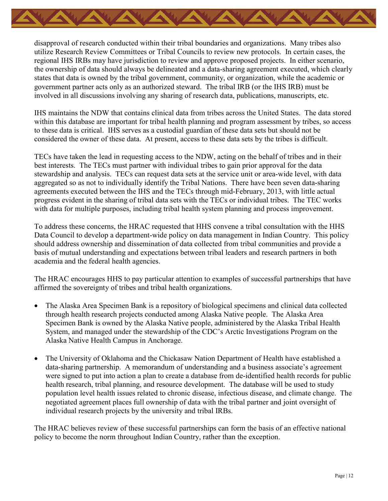disapproval of research conducted within their tribal boundaries and organizations. Many tribes also utilize Research Review Committees or Tribal Councils to review new protocols. In certain cases, the regional IHS IRBs may have jurisdiction to review and approve proposed projects. In either scenario, the ownership of data should always be delineated and a data-sharing agreement executed, which clearly states that data is owned by the tribal government, community, or organization, while the academic or government partner acts only as an authorized steward. The tribal IRB (or the IHS IRB) must be involved in all discussions involving any sharing of research data, publications, manuscripts, etc.

IHS maintains the NDW that contains clinical data from tribes across the United States. The data stored within this database are important for tribal health planning and program assessment by tribes, so access to these data is critical. IHS serves as a custodial guardian of these data sets but should not be considered the owner of these data. At present, access to these data sets by the tribes is difficult.

TECs have taken the lead in requesting access to the NDW, acting on the behalf of tribes and in their best interests. The TECs must partner with individual tribes to gain prior approval for the data stewardship and analysis. TECs can request data sets at the service unit or area-wide level, with data aggregated so as not to individually identify the Tribal Nations. There have been seven data-sharing agreements executed between the IHS and the TECs through mid-February, 2013, with little actual progress evident in the sharing of tribal data sets with the TECs or individual tribes. The TEC works with data for multiple purposes, including tribal health system planning and process improvement.

To address these concerns, the HRAC requested that HHS convene a tribal consultation with the HHS Data Council to develop a department-wide policy on data management in Indian Country. This policy should address ownership and dissemination of data collected from tribal communities and provide a basis of mutual understanding and expectations between tribal leaders and research partners in both academia and the federal health agencies.

The HRAC encourages HHS to pay particular attention to examples of successful partnerships that have affirmed the sovereignty of tribes and tribal health organizations.

- The Alaska Area Specimen Bank is a repository of biological specimens and clinical data collected through health research projects conducted among Alaska Native people. The Alaska Area Specimen Bank is owned by the Alaska Native people, administered by the Alaska Tribal Health System, and managed under the stewardship of the CDC's Arctic Investigations Program on the Alaska Native Health Campus in Anchorage.
- The University of Oklahoma and the Chickasaw Nation Department of Health have established a data-sharing partnership. A memorandum of understanding and a business associate's agreement were signed to put into action a plan to create a database from de-identified health records for public health research, tribal planning, and resource development. The database will be used to study population level health issues related to chronic disease, infectious disease, and climate change. The negotiated agreement places full ownership of data with the tribal partner and joint oversight of individual research projects by the university and tribal IRBs.

The HRAC believes review of these successful partnerships can form the basis of an effective national policy to become the norm throughout Indian Country, rather than the exception.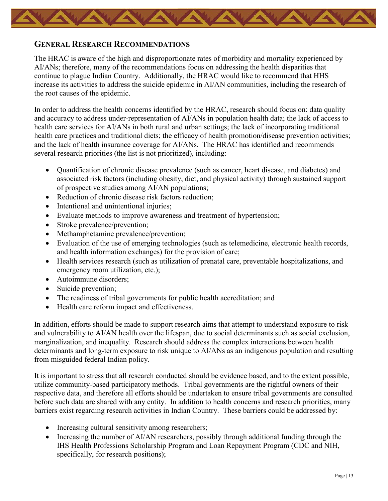### <span id="page-14-0"></span>**GENERAL RESEARCH RECOMMENDATIONS**

The HRAC is aware of the high and disproportionate rates of morbidity and mortality experienced by AI/ANs; therefore, many of the recommendations focus on addressing the health disparities that continue to plague Indian Country. Additionally, the HRAC would like to recommend that HHS increase its activities to address the suicide epidemic in AI/AN communities, including the research of the root causes of the epidemic.

In order to address the health concerns identified by the HRAC, research should focus on: data quality and accuracy to address under-representation of AI/ANs in population health data; the lack of access to health care services for AI/ANs in both rural and urban settings; the lack of incorporating traditional health care practices and traditional diets; the efficacy of health promotion/disease prevention activities; and the lack of health insurance coverage for AI/ANs. The HRAC has identified and recommends several research priorities (the list is not prioritized), including:

- Quantification of chronic disease prevalence (such as cancer, heart disease, and diabetes) and associated risk factors (including obesity, diet, and physical activity) through sustained support of prospective studies among AI/AN populations;
- Reduction of chronic disease risk factors reduction:
- Intentional and unintentional injuries:
- Evaluate methods to improve awareness and treatment of hypertension;
- Stroke prevalence/prevention;
- Methamphetamine prevalence/prevention;
- Evaluation of the use of emerging technologies (such as telemedicine, electronic health records, and health information exchanges) for the provision of care;
- Health services research (such as utilization of prenatal care, preventable hospitalizations, and emergency room utilization, etc.);
- Autoimmune disorders:
- Suicide prevention;
- The readiness of tribal governments for public health accreditation; and
- Health care reform impact and effectiveness.

In addition, efforts should be made to support research aims that attempt to understand exposure to risk and vulnerability to AI/AN health over the lifespan, due to social determinants such as social exclusion, marginalization, and inequality. Research should address the complex interactions between health determinants and long-term exposure to risk unique to AI/ANs as an indigenous population and resulting from misguided federal Indian policy.

It is important to stress that all research conducted should be evidence based, and to the extent possible, utilize community-based participatory methods. Tribal governments are the rightful owners of their respective data, and therefore all efforts should be undertaken to ensure tribal governments are consulted before such data are shared with any entity. In addition to health concerns and research priorities, many barriers exist regarding research activities in Indian Country. These barriers could be addressed by:

- Increasing cultural sensitivity among researchers;
- Increasing the number of AI/AN researchers, possibly through additional funding through the IHS Health Professions Scholarship Program and Loan Repayment Program (CDC and NIH, specifically, for research positions);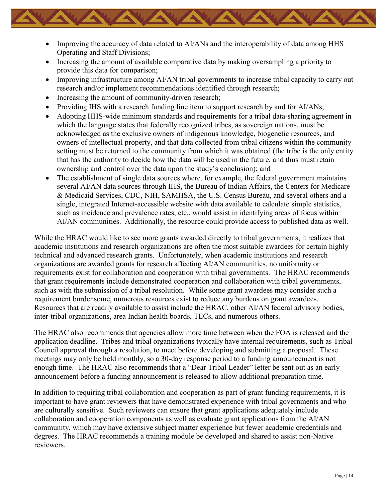- Improving the accuracy of data related to AI/ANs and the interoperability of data among HHS Operating and Staff Divisions;
- Increasing the amount of available comparative data by making oversampling a priority to provide this data for comparison;
- Improving infrastructure among AI/AN tribal governments to increase tribal capacity to carry out research and/or implement recommendations identified through research;
- Increasing the amount of community-driven research;
- Providing IHS with a research funding line item to support research by and for AI/ANs;
- Adopting HHS-wide minimum standards and requirements for a tribal data-sharing agreement in which the language states that federally recognized tribes, as sovereign nations, must be acknowledged as the exclusive owners of indigenous knowledge, biogenetic resources, and owners of intellectual property, and that data collected from tribal citizens within the community setting must be returned to the community from which it was obtained (the tribe is the only entity that has the authority to decide how the data will be used in the future, and thus must retain ownership and control over the data upon the study's conclusion); and
- The establishment of single data sources where, for example, the federal government maintains several AI/AN data sources through IHS, the Bureau of Indian Affairs, the Centers for Medicare & Medicaid Services, CDC, NIH, SAMHSA, the U.S. Census Bureau, and several others and a single, integrated Internet-accessible website with data available to calculate simple statistics, such as incidence and prevalence rates, etc., would assist in identifying areas of focus within AI/AN communities. Additionally, the resource could provide access to published data as well.

While the HRAC would like to see more grants awarded directly to tribal governments, it realizes that academic institutions and research organizations are often the most suitable awardees for certain highly technical and advanced research grants. Unfortunately, when academic institutions and research organizations are awarded grants for research affecting AI/AN communities, no uniformity or requirements exist for collaboration and cooperation with tribal governments. The HRAC recommends that grant requirements include demonstrated cooperation and collaboration with tribal governments, such as with the submission of a tribal resolution. While some grant awardees may consider such a requirement burdensome, numerous resources exist to reduce any burdens on grant awardees. Resources that are readily available to assist include the HRAC, other AI/AN federal advisory bodies, inter-tribal organizations, area Indian health boards, TECs, and numerous others.

The HRAC also recommends that agencies allow more time between when the FOA is released and the application deadline. Tribes and tribal organizations typically have internal requirements, such as Tribal Council approval through a resolution, to meet before developing and submitting a proposal. These meetings may only be held monthly, so a 30-day response period to a funding announcement is not enough time. The HRAC also recommends that a "Dear Tribal Leader" letter be sent out as an early announcement before a funding announcement is released to allow additional preparation time.

In addition to requiring tribal collaboration and cooperation as part of grant funding requirements, it is important to have grant reviewers that have demonstrated experience with tribal governments and who are culturally sensitive. Such reviewers can ensure that grant applications adequately include collaboration and cooperation components as well as evaluate grant applications from the AI/AN community, which may have extensive subject matter experience but fewer academic credentials and degrees. The HRAC recommends a training module be developed and shared to assist non-Native reviewers.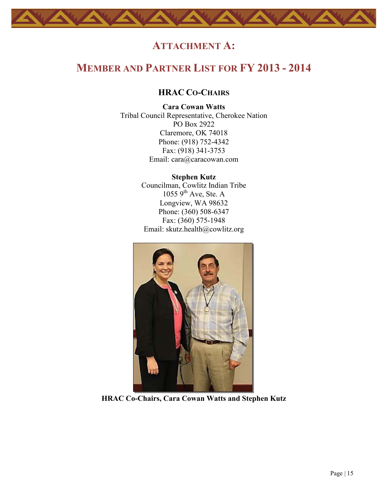### **ATTACHMENT A:**

### <span id="page-16-2"></span><span id="page-16-1"></span><span id="page-16-0"></span>**MEMBER AND PARTNER LIST FOR FY 2013 - 2014**

#### **HRAC CO-CHAIRS**

#### **Cara Cowan Watts**

Tribal Council Representative, Cherokee Nation PO Box 2922 Claremore, OK 74018 Phone: (918) 752-4342 Fax: (918) 341-3753 Email: [cara@caracowan.com](mailto:cara@caracowan.com)

> **Stephen Kutz** Councilman, Cowlitz Indian Tribe  $1055$  9<sup>th</sup> Ave, Ste. A Longview, WA 98632 Phone: (360) 508-6347 Fax: (360) 575-1948 Email: [skutz.health@cowlitz.org](mailto:skutz.health@cowlitz.org)



**HRAC Co-Chairs, Cara Cowan Watts and Stephen Kutz**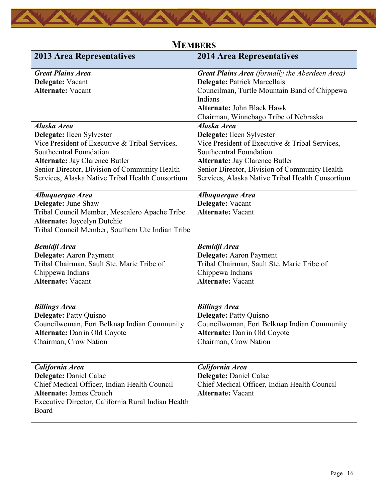<span id="page-17-0"></span>

| <b>2013 Area Representatives</b>                                                                                                                                                                                                                                    | <b>2014 Area Representatives</b>                                                                                                                                                                                                                                    |
|---------------------------------------------------------------------------------------------------------------------------------------------------------------------------------------------------------------------------------------------------------------------|---------------------------------------------------------------------------------------------------------------------------------------------------------------------------------------------------------------------------------------------------------------------|
| <b>Great Plains Area</b><br>Delegate: Vacant<br><b>Alternate: Vacant</b>                                                                                                                                                                                            | <b>Great Plains Area</b> (formally the Aberdeen Area)<br><b>Delegate: Patrick Marcellais</b><br>Councilman, Turtle Mountain Band of Chippewa<br>Indians<br><b>Alternate: John Black Hawk</b><br>Chairman, Winnebago Tribe of Nebraska                               |
| Alaska Area<br>Delegate: Ileen Sylvester<br>Vice President of Executive & Tribal Services,<br>Southcentral Foundation<br><b>Alternate: Jay Clarence Butler</b><br>Senior Director, Division of Community Health<br>Services, Alaska Native Tribal Health Consortium | Alaska Area<br>Delegate: Ileen Sylvester<br>Vice President of Executive & Tribal Services,<br>Southcentral Foundation<br><b>Alternate: Jay Clarence Butler</b><br>Senior Director, Division of Community Health<br>Services, Alaska Native Tribal Health Consortium |
| Albuquerque Area<br><b>Delegate: June Shaw</b><br>Tribal Council Member, Mescalero Apache Tribe<br><b>Alternate: Joycelyn Dutchie</b><br>Tribal Council Member, Southern Ute Indian Tribe                                                                           | Albuquerque Area<br>Delegate: Vacant<br><b>Alternate: Vacant</b>                                                                                                                                                                                                    |
| <b>Bemidji Area</b><br><b>Delegate:</b> Aaron Payment<br>Tribal Chairman, Sault Ste. Marie Tribe of<br>Chippewa Indians<br><b>Alternate: Vacant</b>                                                                                                                 | <b>Bemidji Area</b><br><b>Delegate:</b> Aaron Payment<br>Tribal Chairman, Sault Ste. Marie Tribe of<br>Chippewa Indians<br><b>Alternate: Vacant</b>                                                                                                                 |
| <b>Billings Area</b><br>Delegate: Patty Quisno<br>Councilwoman, Fort Belknap Indian Community<br>Alternate: Darrin Old Coyote<br>Chairman, Crow Nation                                                                                                              | <b>Billings Area</b><br>Delegate: Patty Quisno<br>Councilwoman, Fort Belknap Indian Community<br>Alternate: Darrin Old Coyote<br>Chairman, Crow Nation                                                                                                              |
| California Area<br><b>Delegate: Daniel Calac</b><br>Chief Medical Officer, Indian Health Council<br><b>Alternate: James Crouch</b><br>Executive Director, California Rural Indian Health<br>Board                                                                   | California Area<br><b>Delegate: Daniel Calac</b><br>Chief Medical Officer, Indian Health Council<br><b>Alternate: Vacant</b>                                                                                                                                        |

### **MEMBERS**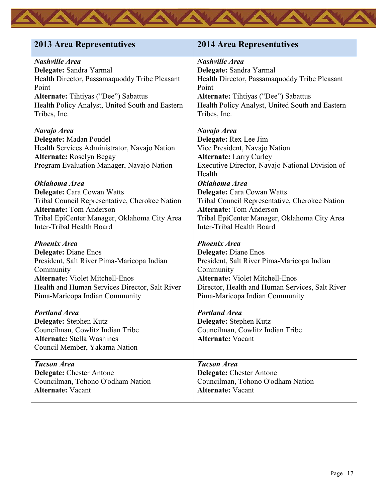| <b>2013 Area Representatives</b>                | <b>2014 Area Representatives</b>                |
|-------------------------------------------------|-------------------------------------------------|
| <b>Nashville Area</b>                           | <b>Nashville Area</b>                           |
| Delegate: Sandra Yarmal                         | Delegate: Sandra Yarmal                         |
| Health Director, Passamaquoddy Tribe Pleasant   | Health Director, Passamaquoddy Tribe Pleasant   |
| Point                                           | Point                                           |
| <b>Alternate:</b> Tihtiyas ("Dee") Sabattus     | <b>Alternate:</b> Tihtiyas ("Dee") Sabattus     |
| Health Policy Analyst, United South and Eastern | Health Policy Analyst, United South and Eastern |
| Tribes, Inc.                                    | Tribes, Inc.                                    |
| Navajo Area                                     | Navajo Area                                     |
| Delegate: Madan Poudel                          | Delegate: Rex Lee Jim                           |
| Health Services Administrator, Navajo Nation    | Vice President, Navajo Nation                   |
| <b>Alternate: Roselyn Begay</b>                 | <b>Alternate: Larry Curley</b>                  |
| Program Evaluation Manager, Navajo Nation       | Executive Director, Navajo National Division of |
|                                                 | Health                                          |
| Oklahoma Area                                   | Oklahoma Area                                   |
| Delegate: Cara Cowan Watts                      | Delegate: Cara Cowan Watts                      |
| Tribal Council Representative, Cherokee Nation  | Tribal Council Representative, Cherokee Nation  |
| <b>Alternate: Tom Anderson</b>                  | <b>Alternate: Tom Anderson</b>                  |
| Tribal EpiCenter Manager, Oklahoma City Area    | Tribal EpiCenter Manager, Oklahoma City Area    |
| Inter-Tribal Health Board                       | Inter-Tribal Health Board                       |
| <b>Phoenix Area</b>                             | <b>Phoenix Area</b>                             |
| <b>Delegate: Diane Enos</b>                     | <b>Delegate: Diane Enos</b>                     |
| President, Salt River Pima-Maricopa Indian      | President, Salt River Pima-Maricopa Indian      |
| Community                                       | Community                                       |
| <b>Alternate: Violet Mitchell-Enos</b>          | <b>Alternate: Violet Mitchell-Enos</b>          |
| Health and Human Services Director, Salt River  | Director, Health and Human Services, Salt River |
| Pima-Maricopa Indian Community                  | Pima-Maricopa Indian Community                  |
| <b>Portland Area</b>                            | <b>Portland Area</b>                            |
| Delegate: Stephen Kutz                          | Delegate: Stephen Kutz                          |
| Councilman, Cowlitz Indian Tribe                | Councilman, Cowlitz Indian Tribe                |
| <b>Alternate: Stella Washines</b>               | <b>Alternate: Vacant</b>                        |
| Council Member, Yakama Nation                   |                                                 |
| <b>Tucson Area</b>                              | <b>Tucson Area</b>                              |
| <b>Delegate:</b> Chester Antone                 | <b>Delegate:</b> Chester Antone                 |
| Councilman, Tohono O'odham Nation               | Councilman, Tohono O'odham Nation               |
| <b>Alternate: Vacant</b>                        | <b>Alternate: Vacant</b>                        |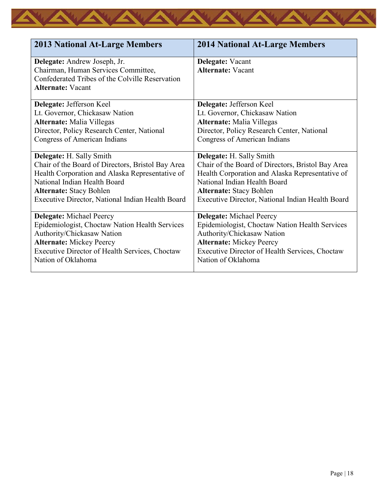| <b>2013 National At-Large Members</b>                                                                                                              | <b>2014 National At-Large Members</b>             |
|----------------------------------------------------------------------------------------------------------------------------------------------------|---------------------------------------------------|
| Delegate: Andrew Joseph, Jr.<br>Chairman, Human Services Committee,<br>Confederated Tribes of the Colville Reservation<br><b>Alternate: Vacant</b> | Delegate: Vacant<br><b>Alternate: Vacant</b>      |
| Delegate: Jefferson Keel                                                                                                                           | Delegate: Jefferson Keel                          |
| Lt. Governor, Chickasaw Nation                                                                                                                     | Lt. Governor, Chickasaw Nation                    |
| <b>Alternate:</b> Malia Villegas                                                                                                                   | <b>Alternate:</b> Malia Villegas                  |
| Director, Policy Research Center, National                                                                                                         | Director, Policy Research Center, National        |
| <b>Congress of American Indians</b>                                                                                                                | Congress of American Indians                      |
| <b>Delegate:</b> H. Sally Smith                                                                                                                    | <b>Delegate:</b> H. Sally Smith                   |
| Chair of the Board of Directors, Bristol Bay Area                                                                                                  | Chair of the Board of Directors, Bristol Bay Area |
| Health Corporation and Alaska Representative of                                                                                                    | Health Corporation and Alaska Representative of   |
| National Indian Health Board                                                                                                                       | National Indian Health Board                      |
| <b>Alternate: Stacy Bohlen</b>                                                                                                                     | <b>Alternate: Stacy Bohlen</b>                    |
| Executive Director, National Indian Health Board                                                                                                   | Executive Director, National Indian Health Board  |
| <b>Delegate:</b> Michael Peercy                                                                                                                    | <b>Delegate:</b> Michael Peercy                   |
| Epidemiologist, Choctaw Nation Health Services                                                                                                     | Epidemiologist, Choctaw Nation Health Services    |
| Authority/Chickasaw Nation                                                                                                                         | Authority/Chickasaw Nation                        |
| <b>Alternate: Mickey Peercy</b>                                                                                                                    | <b>Alternate: Mickey Peercy</b>                   |
| Executive Director of Health Services, Choctaw                                                                                                     | Executive Director of Health Services, Choctaw    |
| Nation of Oklahoma                                                                                                                                 | Nation of Oklahoma                                |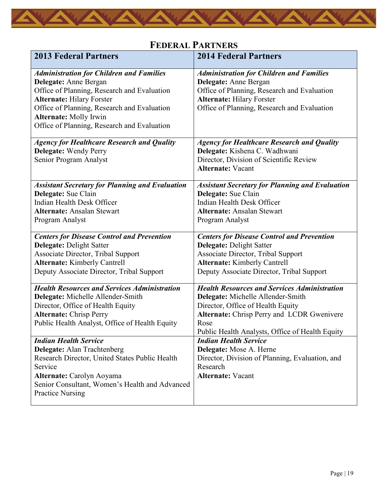

<span id="page-20-0"></span>

| <b>2013 Federal Partners</b>                                                                                                                                                                                                                                                               | <b>2014 Federal Partners</b>                                                                                                                                                                                                                                                                      |
|--------------------------------------------------------------------------------------------------------------------------------------------------------------------------------------------------------------------------------------------------------------------------------------------|---------------------------------------------------------------------------------------------------------------------------------------------------------------------------------------------------------------------------------------------------------------------------------------------------|
| <b>Administration for Children and Families</b><br>Delegate: Anne Bergan<br>Office of Planning, Research and Evaluation<br><b>Alternate: Hilary Forster</b><br>Office of Planning, Research and Evaluation<br><b>Alternate: Molly Irwin</b><br>Office of Planning, Research and Evaluation | <b>Administration for Children and Families</b><br>Delegate: Anne Bergan<br>Office of Planning, Research and Evaluation<br><b>Alternate: Hilary Forster</b><br>Office of Planning, Research and Evaluation                                                                                        |
| <b>Agency for Healthcare Research and Quality</b><br>Delegate: Wendy Perry<br>Senior Program Analyst                                                                                                                                                                                       | <b>Agency for Healthcare Research and Quality</b><br>Delegate: Kishena C. Wadhwani<br>Director, Division of Scientific Review<br><b>Alternate: Vacant</b>                                                                                                                                         |
| <b>Assistant Secretary for Planning and Evaluation</b><br>Delegate: Sue Clain<br>Indian Health Desk Officer<br><b>Alternate: Ansalan Stewart</b><br>Program Analyst                                                                                                                        | <b>Assistant Secretary for Planning and Evaluation</b><br>Delegate: Sue Clain<br>Indian Health Desk Officer<br><b>Alternate: Ansalan Stewart</b><br>Program Analyst                                                                                                                               |
| <b>Centers for Disease Control and Prevention</b><br><b>Delegate: Delight Satter</b><br>Associate Director, Tribal Support<br><b>Alternate:</b> Kimberly Cantrell<br>Deputy Associate Director, Tribal Support                                                                             | <b>Centers for Disease Control and Prevention</b><br>Delegate: Delight Satter<br>Associate Director, Tribal Support<br><b>Alternate:</b> Kimberly Cantrell<br>Deputy Associate Director, Tribal Support                                                                                           |
| <b>Health Resources and Services Administration</b><br>Delegate: Michelle Allender-Smith<br>Director, Office of Health Equity<br><b>Alternate: Chrisp Perry</b><br>Public Health Analyst, Office of Health Equity<br><b>Indian Health Service</b><br>Delegate: Alan Trachtenberg           | <b>Health Resources and Services Administration</b><br>Delegate: Michelle Allender-Smith<br>Director, Office of Health Equity<br>Alternate: Chrisp Perry and LCDR Gwenivere<br>Rose<br>Public Health Analysts, Office of Health Equity<br><b>Indian Health Service</b><br>Delegate: Mose A. Herne |
| Research Director, United States Public Health<br>Service<br>Alternate: Carolyn Aoyama<br>Senior Consultant, Women's Health and Advanced<br><b>Practice Nursing</b>                                                                                                                        | Director, Division of Planning, Evaluation, and<br>Research<br><b>Alternate: Vacant</b>                                                                                                                                                                                                           |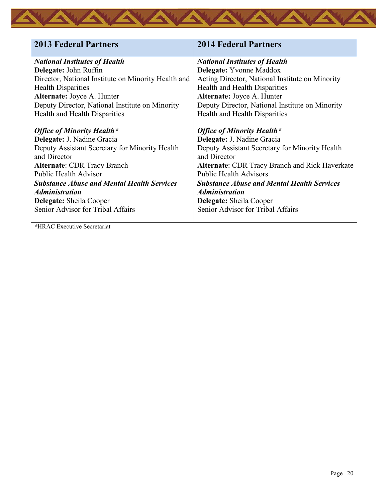| <b>2013 Federal Partners</b>                        | <b>2014 Federal Partners</b>                          |
|-----------------------------------------------------|-------------------------------------------------------|
| <b>National Institutes of Health</b>                | <b>National Institutes of Health</b>                  |
| Delegate: John Ruffin                               | Delegate: Yvonne Maddox                               |
| Director, National Institute on Minority Health and | Acting Director, National Institute on Minority       |
| <b>Health Disparities</b>                           | Health and Health Disparities                         |
| Alternate: Joyce A. Hunter                          | Alternate: Joyce A. Hunter                            |
| Deputy Director, National Institute on Minority     | Deputy Director, National Institute on Minority       |
| Health and Health Disparities                       | Health and Health Disparities                         |
|                                                     |                                                       |
| <b>Office of Minority Health*</b>                   | <b>Office of Minority Health*</b>                     |
| Delegate: J. Nadine Gracia                          | Delegate: J. Nadine Gracia                            |
| Deputy Assistant Secretary for Minority Health      | Deputy Assistant Secretary for Minority Health        |
| and Director                                        | and Director                                          |
| <b>Alternate: CDR Tracy Branch</b>                  | <b>Alternate: CDR Tracy Branch and Rick Haverkate</b> |
| <b>Public Health Advisor</b>                        | <b>Public Health Advisors</b>                         |
| <b>Substance Abuse and Mental Health Services</b>   | <b>Substance Abuse and Mental Health Services</b>     |
| <i><b>Administration</b></i>                        | <i><b>Administration</b></i>                          |
| <b>Delegate:</b> Sheila Cooper                      | <b>Delegate:</b> Sheila Cooper                        |
| Senior Advisor for Tribal Affairs                   | Senior Advisor for Tribal Affairs                     |
|                                                     |                                                       |

*\**HRAC Executive Secretariat